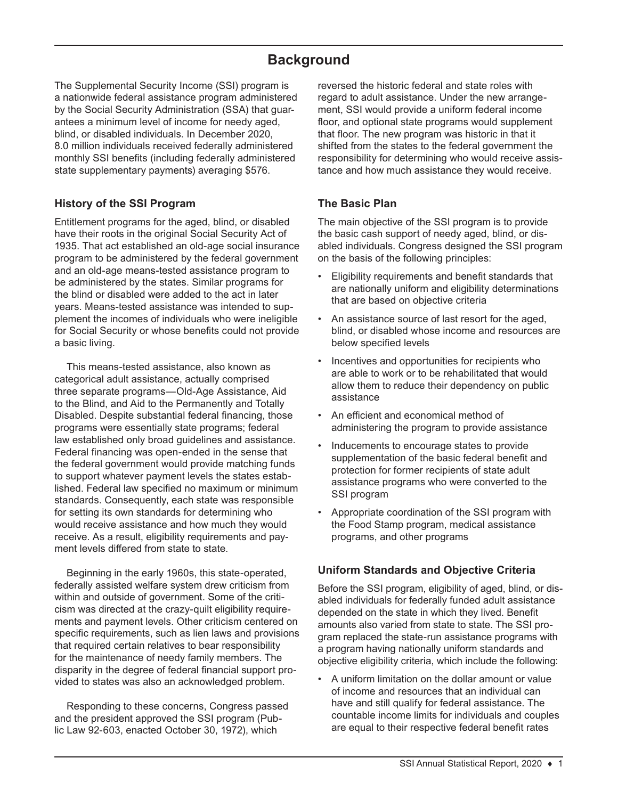# **Background**

The Supplemental Security Income (SSI) program is a nationwide federal assistance program administered by the Social Security Administration (SSA) that guarantees a minimum level of income for needy aged, blind, or disabled individuals. In December 2020, 8.0 million individuals received federally administered monthly SSI benefits (including federally administered state supplementary payments) averaging \$576.

# **History of the SSI Program**

Entitlement programs for the aged, blind, or disabled have their roots in the original Social Security Act of 1935. That act established an old-age social insurance program to be administered by the federal government and an old-age means-tested assistance program to be administered by the states. Similar programs for the blind or disabled were added to the act in later years. Means-tested assistance was intended to supplement the incomes of individuals who were ineligible for Social Security or whose benefits could not provide a basic living.

This means-tested assistance, also known as categorical adult assistance, actually comprised three separate programs—Old-Age Assistance, Aid to the Blind, and Aid to the Permanently and Totally Disabled. Despite substantial federal financing, those programs were essentially state programs; federal law established only broad guidelines and assistance. Federal financing was open-ended in the sense that the federal government would provide matching funds to support whatever payment levels the states established. Federal law specified no maximum or minimum standards. Consequently, each state was responsible for setting its own standards for determining who would receive assistance and how much they would receive. As a result, eligibility requirements and payment levels differed from state to state.

Beginning in the early 1960s, this state-operated, federally assisted welfare system drew criticism from within and outside of government. Some of the criticism was directed at the crazy-quilt eligibility requirements and payment levels. Other criticism centered on specific requirements, such as lien laws and provisions that required certain relatives to bear responsibility for the maintenance of needy family members. The disparity in the degree of federal financial support provided to states was also an acknowledged problem.

Responding to these concerns, Congress passed and the president approved the SSI program (Public Law 92-603, enacted October 30, 1972), which

reversed the historic federal and state roles with regard to adult assistance. Under the new arrangement, SSI would provide a uniform federal income floor, and optional state programs would supplement that floor. The new program was historic in that it shifted from the states to the federal government the responsibility for determining who would receive assistance and how much assistance they would receive.

## **The Basic Plan**

The main objective of the SSI program is to provide the basic cash support of needy aged, blind, or disabled individuals. Congress designed the SSI program on the basis of the following principles:

- Eligibility requirements and benefit standards that are nationally uniform and eligibility determinations that are based on objective criteria
- An assistance source of last resort for the aged, blind, or disabled whose income and resources are below specified levels
- Incentives and opportunities for recipients who are able to work or to be rehabilitated that would allow them to reduce their dependency on public assistance
- An efficient and economical method of administering the program to provide assistance
- Inducements to encourage states to provide supplementation of the basic federal benefit and protection for former recipients of state adult assistance programs who were converted to the SSI program
- Appropriate coordination of the SSI program with the Food Stamp program, medical assistance programs, and other programs

### **Uniform Standards and Objective Criteria**

Before the SSI program, eligibility of aged, blind, or disabled individuals for federally funded adult assistance depended on the state in which they lived. Benefit amounts also varied from state to state. The SSI program replaced the state-run assistance programs with a program having nationally uniform standards and objective eligibility criteria, which include the following:

• A uniform limitation on the dollar amount or value of income and resources that an individual can have and still qualify for federal assistance. The countable income limits for individuals and couples are equal to their respective federal benefit rates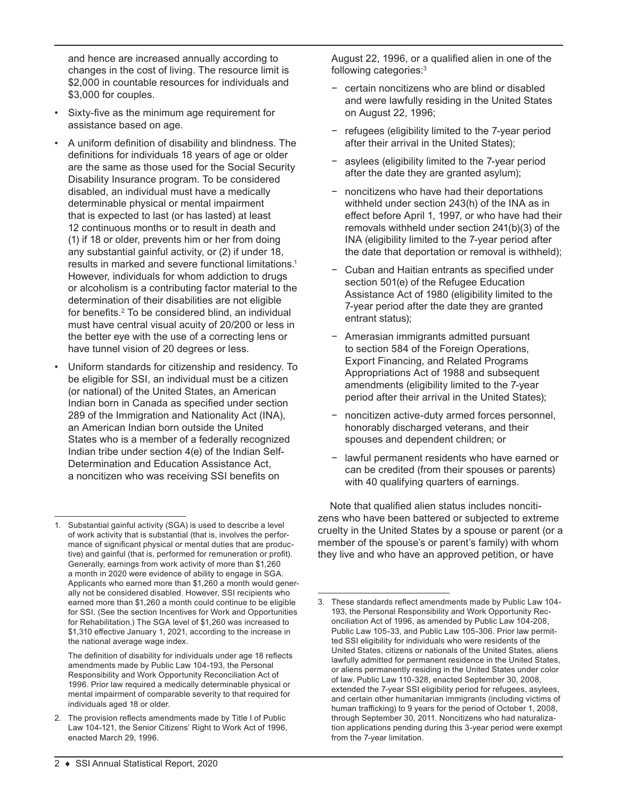and hence are increased annually according to changes in the cost of living. The resource limit is \$2,000 in countable resources for individuals and \$3,000 for couples.

- Sixty-five as the minimum age requirement for assistance based on age.
- A uniform definition of disability and blindness. The definitions for individuals 18 years of age or older are the same as those used for the Social Security Disability Insurance program. To be considered disabled, an individual must have a medically determinable physical or mental impairment that is expected to last (or has lasted) at least 12 continuous months or to result in death and (1) if 18 or older, prevents him or her from doing any substantial gainful activity, or (2) if under 18, results in marked and severe functional limitations.1 However, individuals for whom addiction to drugs or alcoholism is a contributing factor material to the determination of their disabilities are not eligible for benefits.<sup>2</sup> To be considered blind, an individual must have central visual acuity of 20/200 or less in the better eye with the use of a correcting lens or have tunnel vision of 20 degrees or less.
- Uniform standards for citizenship and residency. To be eligible for SSI, an individual must be a citizen (or national) of the United States, an American Indian born in Canada as specified under section 289 of the Immigration and Nationality Act (INA), an American Indian born outside the United States who is a member of a federally recognized Indian tribe under section 4(e) of the Indian Self-Determination and Education Assistance Act, a noncitizen who was receiving SSI benefits on

The definition of disability for individuals under age 18 reflects amendments made by Public Law 104-193, the Personal Responsibility and Work Opportunity Reconciliation Act of 1996. Prior law required a medically determinable physical or mental impairment of comparable severity to that required for individuals aged 18 or older.

2. The provision reflects amendments made by Title I of Public Law 104-121, the Senior Citizens' Right to Work Act of 1996, enacted March 29, 1996.

August 22, 1996, or a qualified alien in one of the following categories:<sup>3</sup>

- − certain noncitizens who are blind or disabled and were lawfully residing in the United States on August 22, 1996;
- − refugees (eligibility limited to the 7-year period after their arrival in the United States);
- asylees (eligibility limited to the 7-year period after the date they are granted asylum);
- noncitizens who have had their deportations withheld under section 243(h) of the INA as in effect before April 1, 1997, or who have had their removals withheld under section 241(b)(3) of the INA (eligibility limited to the 7-year period after the date that deportation or removal is withheld);
- − Cuban and Haitian entrants as specified under section 501(e) of the Refugee Education Assistance Act of 1980 (eligibility limited to the 7-year period after the date they are granted entrant status);
- − Amerasian immigrants admitted pursuant to section 584 of the Foreign Operations, Export Financing, and Related Programs Appropriations Act of 1988 and subsequent amendments (eligibility limited to the 7-year period after their arrival in the United States);
- − noncitizen active-duty armed forces personnel, honorably discharged veterans, and their spouses and dependent children; or
- − lawful permanent residents who have earned or can be credited (from their spouses or parents) with 40 qualifying quarters of earnings.

Note that qualified alien status includes noncitizens who have been battered or subjected to extreme cruelty in the United States by a spouse or parent (or a member of the spouse's or parent's family) with whom they live and who have an approved petition, or have

<sup>1.</sup> Substantial gainful activity (SGA) is used to describe a level of work activity that is substantial (that is, involves the performance of significant physical or mental duties that are productive) and gainful (that is, performed for remuneration or profit). Generally, earnings from work activity of more than \$1,260 a month in 2020 were evidence of ability to engage in SGA. Applicants who earned more than \$1,260 a month would generally not be considered disabled. However, SSI recipients who earned more than \$1,260 a month could continue to be eligible for SSI. (See the section Incentives for Work and Opportunities for Rehabilitation.) The SGA level of \$1,260 was increased to \$1,310 effective January 1, 2021, according to the increase in the national average wage index.

<sup>3.</sup> These standards reflect amendments made by Public Law 104- 193, the Personal Responsibility and Work Opportunity Reconciliation Act of 1996, as amended by Public Law 104-208, Public Law 105-33, and Public Law 105-306. Prior law permitted SSI eligibility for individuals who were residents of the United States, citizens or nationals of the United States, aliens lawfully admitted for permanent residence in the United States, or aliens permanently residing in the United States under color of law. Public Law 110-328, enacted September 30, 2008, extended the 7-year SSI eligibility period for refugees, asylees, and certain other humanitarian immigrants (including victims of human trafficking) to 9 years for the period of October 1, 2008, through September 30, 2011. Noncitizens who had naturalization applications pending during this 3-year period were exempt from the 7-year limitation.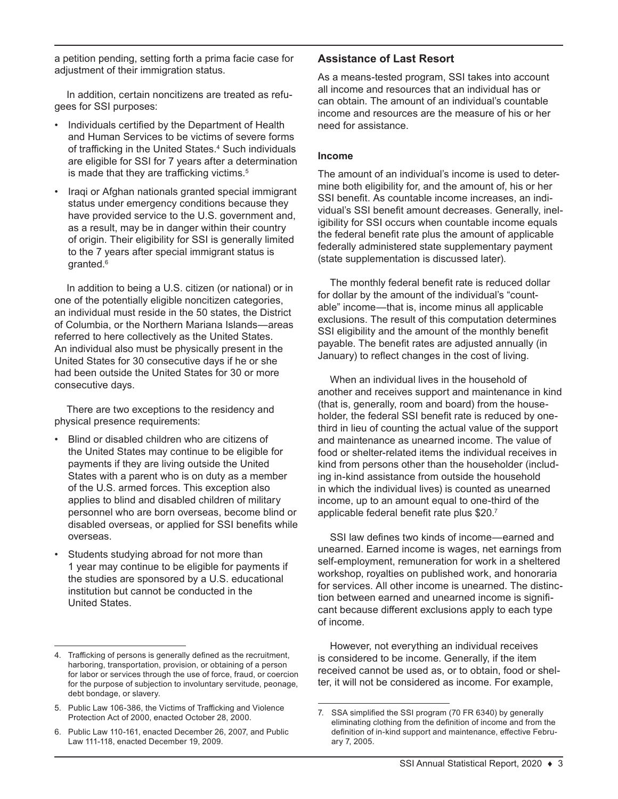a petition pending, setting forth a prima facie case for adjustment of their immigration status.

In addition, certain noncitizens are treated as refugees for SSI purposes:

- Individuals certified by the Department of Health and Human Services to be victims of severe forms of trafficking in the United States.<sup>4</sup> Such individuals are eligible for SSI for 7 years after a determination is made that they are trafficking victims.<sup>5</sup>
- Iraqi or Afghan nationals granted special immigrant status under emergency conditions because they have provided service to the U.S. government and, as a result, may be in danger within their country of origin. Their eligibility for SSI is generally limited to the 7 years after special immigrant status is granted.6

In addition to being a U.S. citizen (or national) or in one of the potentially eligible noncitizen categories, an individual must reside in the 50 states, the District of Columbia, or the Northern Mariana Islands—areas referred to here collectively as the United States. An individual also must be physically present in the United States for 30 consecutive days if he or she had been outside the United States for 30 or more consecutive days.

There are two exceptions to the residency and physical presence requirements:

- Blind or disabled children who are citizens of the United States may continue to be eligible for payments if they are living outside the United States with a parent who is on duty as a member of the U.S. armed forces. This exception also applies to blind and disabled children of military personnel who are born overseas, become blind or disabled overseas, or applied for SSI benefits while overseas.
- Students studying abroad for not more than 1 year may continue to be eligible for payments if the studies are sponsored by a U.S. educational institution but cannot be conducted in the United States.

### **Assistance of Last Resort**

As a means-tested program, SSI takes into account all income and resources that an individual has or can obtain. The amount of an individual's countable income and resources are the measure of his or her need for assistance.

#### **Income**

The amount of an individual's income is used to determine both eligibility for, and the amount of, his or her SSI benefit. As countable income increases, an individual's SSI benefit amount decreases. Generally, ineligibility for SSI occurs when countable income equals the federal benefit rate plus the amount of applicable federally administered state supplementary payment (state supplementation is discussed later).

The monthly federal benefit rate is reduced dollar for dollar by the amount of the individual's "countable" income—that is, income minus all applicable exclusions. The result of this computation determines SSI eligibility and the amount of the monthly benefit payable. The benefit rates are adjusted annually (in January) to reflect changes in the cost of living.

When an individual lives in the household of another and receives support and maintenance in kind (that is, generally, room and board) from the householder, the federal SSI benefit rate is reduced by onethird in lieu of counting the actual value of the support and maintenance as unearned income. The value of food or shelter-related items the individual receives in kind from persons other than the householder (including in-kind assistance from outside the household in which the individual lives) is counted as unearned income, up to an amount equal to one-third of the applicable federal benefit rate plus \$20.<sup>7</sup>

SSI law defines two kinds of income—earned and unearned. Earned income is wages, net earnings from self-employment, remuneration for work in a sheltered workshop, royalties on published work, and honoraria for services. All other income is unearned. The distinction between earned and unearned income is significant because different exclusions apply to each type of income.

However, not everything an individual receives is considered to be income. Generally, if the item received cannot be used as, or to obtain, food or shelter, it will not be considered as income. For example,

<sup>4.</sup> Trafficking of persons is generally defined as the recruitment, harboring, transportation, provision, or obtaining of a person for labor or services through the use of force, fraud, or coercion for the purpose of subjection to involuntary servitude, peonage, debt bondage, or slavery.

<sup>5.</sup> Public Law 106-386, the Victims of Trafficking and Violence Protection Act of 2000, enacted October 28, 2000.

<sup>6.</sup> Public Law 110-161, enacted December 26, 2007, and Public Law 111-118, enacted December 19, 2009.

<sup>7.</sup> SSA simplified the SSI program (70 FR 6340) by generally eliminating clothing from the definition of income and from the definition of in-kind support and maintenance, effective February 7, 2005.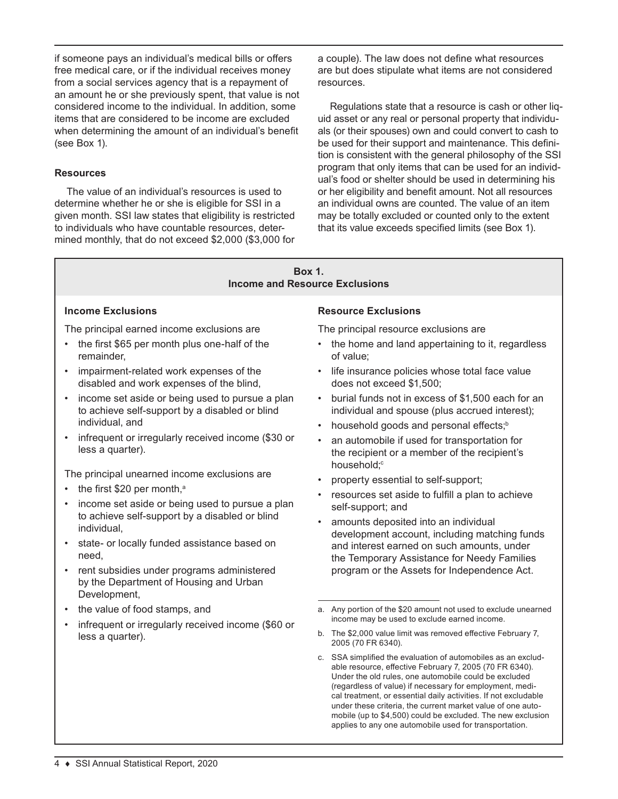if someone pays an individual's medical bills or offers free medical care, or if the individual receives money from a social services agency that is a repayment of an amount he or she previously spent, that value is not considered income to the individual. In addition, some items that are considered to be income are excluded when determining the amount of an individual's benefit (see Box 1).

#### **Resources**

The value of an individual's resources is used to determine whether he or she is eligible for SSI in a given month. SSI law states that eligibility is restricted to individuals who have countable resources, determined monthly, that do not exceed \$2,000 (\$3,000 for a couple). The law does not define what resources are but does stipulate what items are not considered resources.

Regulations state that a resource is cash or other liquid asset or any real or personal property that individuals (or their spouses) own and could convert to cash to be used for their support and maintenance. This definition is consistent with the general philosophy of the SSI program that only items that can be used for an individual's food or shelter should be used in determining his or her eligibility and benefit amount. Not all resources an individual owns are counted. The value of an item may be totally excluded or counted only to the extent that its value exceeds specified limits (see Box 1).

#### **Box 1. Income and Resource Exclusions**

#### **Income Exclusions**

The principal earned income exclusions are

- the first \$65 per month plus one-half of the remainder,
- impairment-related work expenses of the disabled and work expenses of the blind,
- income set aside or being used to pursue a plan to achieve self-support by a disabled or blind individual, and
- infrequent or irregularly received income (\$30 or less a quarter).

The principal unearned income exclusions are

- the first  $$20$  per month,<sup>a</sup>
- income set aside or being used to pursue a plan to achieve self-support by a disabled or blind individual,
- state- or locally funded assistance based on need,
- rent subsidies under programs administered by the Department of Housing and Urban Development,
- the value of food stamps, and
- infrequent or irregularly received income (\$60 or less a quarter).

#### **Resource Exclusions**

The principal resource exclusions are

- the home and land appertaining to it, regardless of value;
- life insurance policies whose total face value does not exceed \$1,500;
- burial funds not in excess of \$1,500 each for an individual and spouse (plus accrued interest);
- household goods and personal effects;<sup>b</sup>
- an automobile if used for transportation for the recipient or a member of the recipient's household;<sup>c</sup>
- property essential to self-support;
- resources set aside to fulfill a plan to achieve self-support; and
- amounts deposited into an individual development account, including matching funds and interest earned on such amounts, under the Temporary Assistance for Needy Families program or the Assets for Independence Act.
- a. Any portion of the \$20 amount not used to exclude unearned income may be used to exclude earned income.
- b. The \$2,000 value limit was removed effective February 7, 2005 (70 FR 6340).
- c. SSA simplified the evaluation of automobiles as an excludable resource, effective February 7, 2005 (70 FR 6340). Under the old rules, one automobile could be excluded (regardless of value) if necessary for employment, medical treatment, or essential daily activities. If not excludable under these criteria, the current market value of one automobile (up to \$4,500) could be excluded. The new exclusion applies to any one automobile used for transportation.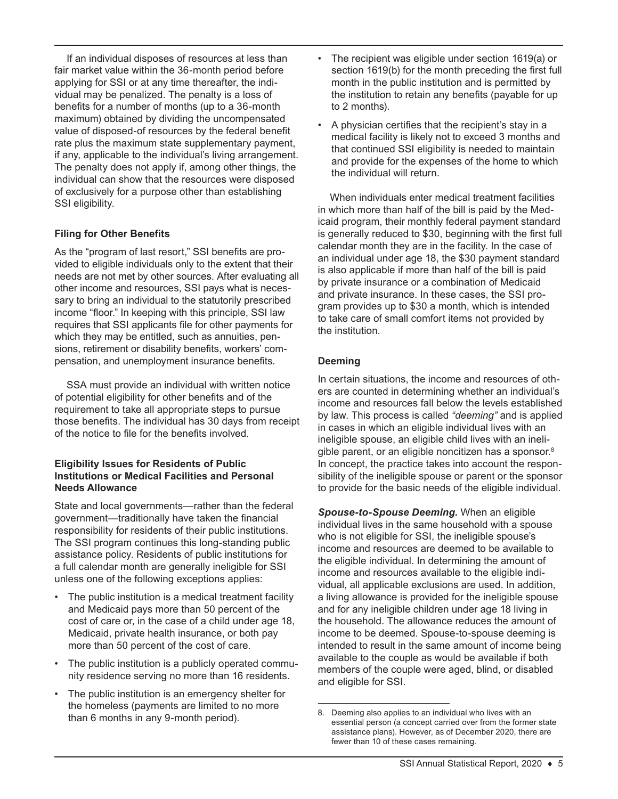If an individual disposes of resources at less than fair market value within the 36-month period before applying for SSI or at any time thereafter, the individual may be penalized. The penalty is a loss of benefits for a number of months (up to a 36-month maximum) obtained by dividing the uncompensated value of disposed-of resources by the federal benefit rate plus the maximum state supplementary payment, if any, applicable to the individual's living arrangement. The penalty does not apply if, among other things, the individual can show that the resources were disposed of exclusively for a purpose other than establishing SSI eligibility.

### **Filing for Other Benefits**

As the "program of last resort," SSI benefits are provided to eligible individuals only to the extent that their needs are not met by other sources. After evaluating all other income and resources, SSI pays what is necessary to bring an individual to the statutorily prescribed income "floor." In keeping with this principle, SSI law requires that SSI applicants file for other payments for which they may be entitled, such as annuities, pensions, retirement or disability benefits, workers' compensation, and unemployment insurance benefits.

SSA must provide an individual with written notice of potential eligibility for other benefits and of the requirement to take all appropriate steps to pursue those benefits. The individual has 30 days from receipt of the notice to file for the benefits involved.

#### **Eligibility Issues for Residents of Public Institutions or Medical Facilities and Personal Needs Allowance**

State and local governments—rather than the federal government—traditionally have taken the financial responsibility for residents of their public institutions. The SSI program continues this long-standing public assistance policy. Residents of public institutions for a full calendar month are generally ineligible for SSI unless one of the following exceptions applies:

- The public institution is a medical treatment facility and Medicaid pays more than 50 percent of the cost of care or, in the case of a child under age 18, Medicaid, private health insurance, or both pay more than 50 percent of the cost of care.
- The public institution is a publicly operated community residence serving no more than 16 residents.
- The public institution is an emergency shelter for the homeless (payments are limited to no more than 6 months in any 9-month period).
- The recipient was eligible under section 1619(a) or section 1619(b) for the month preceding the first full month in the public institution and is permitted by the institution to retain any benefits (payable for up to 2 months).
- A physician certifies that the recipient's stay in a medical facility is likely not to exceed 3 months and that continued SSI eligibility is needed to maintain and provide for the expenses of the home to which the individual will return.

When individuals enter medical treatment facilities in which more than half of the bill is paid by the Medicaid program, their monthly federal payment standard is generally reduced to \$30, beginning with the first full calendar month they are in the facility. In the case of an individual under age 18, the \$30 payment standard is also applicable if more than half of the bill is paid by private insurance or a combination of Medicaid and private insurance. In these cases, the SSI program provides up to \$30 a month, which is intended to take care of small comfort items not provided by the institution.

### **Deeming**

In certain situations, the income and resources of others are counted in determining whether an individual's income and resources fall below the levels established by law. This process is called *"deeming"* and is applied in cases in which an eligible individual lives with an ineligible spouse, an eligible child lives with an ineligible parent, or an eligible noncitizen has a sponsor.<sup>8</sup> In concept, the practice takes into account the responsibility of the ineligible spouse or parent or the sponsor to provide for the basic needs of the eligible individual.

*Spouse-to-Spouse Deeming.* When an eligible individual lives in the same household with a spouse who is not eligible for SSI, the ineligible spouse's income and resources are deemed to be available to the eligible individual. In determining the amount of income and resources available to the eligible individual, all applicable exclusions are used. In addition, a living allowance is provided for the ineligible spouse and for any ineligible children under age 18 living in the household. The allowance reduces the amount of income to be deemed. Spouse-to-spouse deeming is intended to result in the same amount of income being available to the couple as would be available if both members of the couple were aged, blind, or disabled and eligible for SSI.

<sup>8.</sup> Deeming also applies to an individual who lives with an essential person (a concept carried over from the former state assistance plans). However, as of December 2020, there are fewer than 10 of these cases remaining.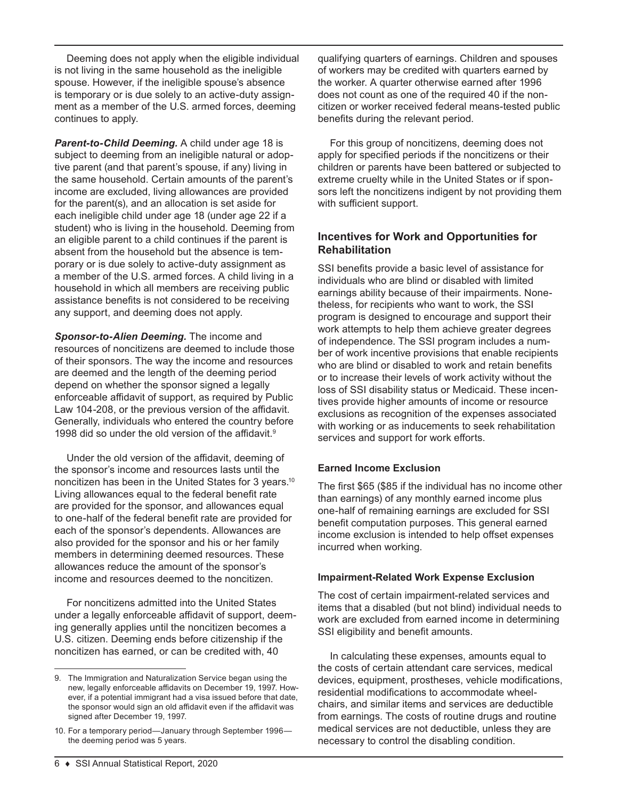Deeming does not apply when the eligible individual is not living in the same household as the ineligible spouse. However, if the ineligible spouse's absence is temporary or is due solely to an active-duty assignment as a member of the U.S. armed forces, deeming continues to apply.

*Parent-to-Child Deeming.* A child under age 18 is subject to deeming from an ineligible natural or adoptive parent (and that parent's spouse, if any) living in the same household. Certain amounts of the parent's income are excluded, living allowances are provided for the parent(s), and an allocation is set aside for each ineligible child under age 18 (under age 22 if a student) who is living in the household. Deeming from an eligible parent to a child continues if the parent is absent from the household but the absence is temporary or is due solely to active-duty assignment as a member of the U.S. armed forces. A child living in a household in which all members are receiving public assistance benefits is not considered to be receiving any support, and deeming does not apply.

*Sponsor-to-Alien Deeming.* The income and resources of noncitizens are deemed to include those of their sponsors. The way the income and resources are deemed and the length of the deeming period depend on whether the sponsor signed a legally enforceable affidavit of support, as required by Public Law 104-208, or the previous version of the affidavit. Generally, individuals who entered the country before 1998 did so under the old version of the affidavit.<sup>9</sup>

Under the old version of the affidavit, deeming of the sponsor's income and resources lasts until the noncitizen has been in the United States for 3 years.<sup>10</sup> Living allowances equal to the federal benefit rate are provided for the sponsor, and allowances equal to one-half of the federal benefit rate are provided for each of the sponsor's dependents. Allowances are also provided for the sponsor and his or her family members in determining deemed resources. These allowances reduce the amount of the sponsor's income and resources deemed to the noncitizen.

For noncitizens admitted into the United States under a legally enforceable affidavit of support, deeming generally applies until the noncitizen becomes a U.S. citizen. Deeming ends before citizenship if the noncitizen has earned, or can be credited with, 40

qualifying quarters of earnings. Children and spouses of workers may be credited with quarters earned by the worker. A quarter otherwise earned after 1996 does not count as one of the required 40 if the noncitizen or worker received federal means-tested public benefits during the relevant period.

For this group of noncitizens, deeming does not apply for specified periods if the noncitizens or their children or parents have been battered or subjected to extreme cruelty while in the United States or if sponsors left the noncitizens indigent by not providing them with sufficient support.

## **Incentives for Work and Opportunities for Rehabilitation**

SSI benefits provide a basic level of assistance for individuals who are blind or disabled with limited earnings ability because of their impairments. Nonetheless, for recipients who want to work, the SSI program is designed to encourage and support their work attempts to help them achieve greater degrees of independence. The SSI program includes a number of work incentive provisions that enable recipients who are blind or disabled to work and retain benefits or to increase their levels of work activity without the loss of SSI disability status or Medicaid. These incentives provide higher amounts of income or resource exclusions as recognition of the expenses associated with working or as inducements to seek rehabilitation services and support for work efforts.

### **Earned Income Exclusion**

The first \$65 (\$85 if the individual has no income other than earnings) of any monthly earned income plus one-half of remaining earnings are excluded for SSI benefit computation purposes. This general earned income exclusion is intended to help offset expenses incurred when working.

### **Impairment-Related Work Expense Exclusion**

The cost of certain impairment-related services and items that a disabled (but not blind) individual needs to work are excluded from earned income in determining SSI eligibility and benefit amounts.

In calculating these expenses, amounts equal to the costs of certain attendant care services, medical devices, equipment, prostheses, vehicle modifications, residential modifications to accommodate wheelchairs, and similar items and services are deductible from earnings. The costs of routine drugs and routine medical services are not deductible, unless they are necessary to control the disabling condition.

<sup>9.</sup> The Immigration and Naturalization Service began using the new, legally enforceable affidavits on December 19, 1997. However, if a potential immigrant had a visa issued before that date, the sponsor would sign an old affidavit even if the affidavit was signed after December 19, 1997.

<sup>10.</sup> For a temporary period—January through September 1996 the deeming period was 5 years.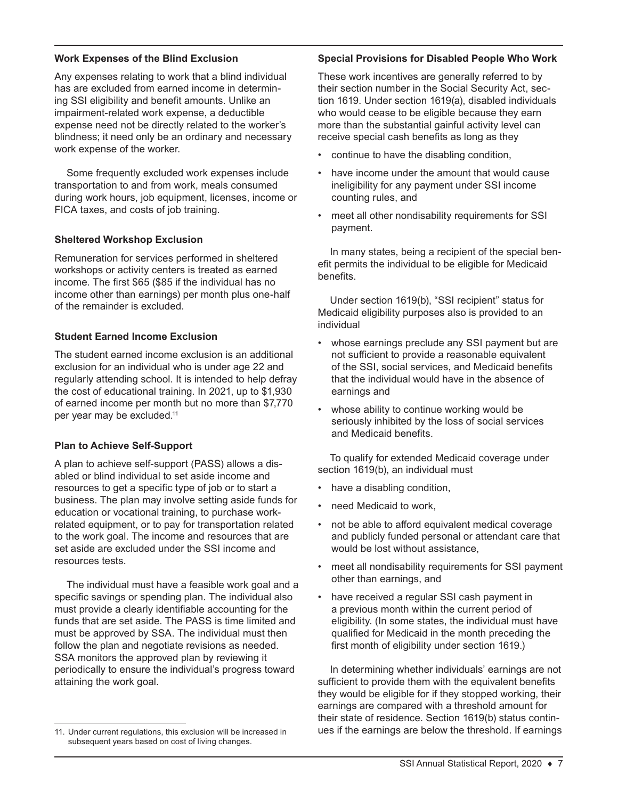#### **Work Expenses of the Blind Exclusion**

Any expenses relating to work that a blind individual has are excluded from earned income in determining SSI eligibility and benefit amounts. Unlike an impairment-related work expense, a deductible expense need not be directly related to the worker's blindness; it need only be an ordinary and necessary work expense of the worker.

Some frequently excluded work expenses include transportation to and from work, meals consumed during work hours, job equipment, licenses, income or FICA taxes, and costs of job training.

#### **Sheltered Workshop Exclusion**

Remuneration for services performed in sheltered workshops or activity centers is treated as earned income. The first \$65 (\$85 if the individual has no income other than earnings) per month plus one-half of the remainder is excluded.

#### **Student Earned Income Exclusion**

The student earned income exclusion is an additional exclusion for an individual who is under age 22 and regularly attending school. It is intended to help defray the cost of educational training. In 2021, up to \$1,930 of earned income per month but no more than \$7,770 per year may be excluded.11

#### **Plan to Achieve Self-Support**

A plan to achieve self-support (PASS) allows a disabled or blind individual to set aside income and resources to get a specific type of job or to start a business. The plan may involve setting aside funds for education or vocational training, to purchase workrelated equipment, or to pay for transportation related to the work goal. The income and resources that are set aside are excluded under the SSI income and resources tests.

The individual must have a feasible work goal and a specific savings or spending plan. The individual also must provide a clearly identifiable accounting for the funds that are set aside. The PASS is time limited and must be approved by SSA. The individual must then follow the plan and negotiate revisions as needed. SSA monitors the approved plan by reviewing it periodically to ensure the individual's progress toward attaining the work goal.

#### **Special Provisions for Disabled People Who Work**

These work incentives are generally referred to by their section number in the Social Security Act, section 1619. Under section 1619(a), disabled individuals who would cease to be eligible because they earn more than the substantial gainful activity level can receive special cash benefits as long as they

- continue to have the disabling condition,
- have income under the amount that would cause ineligibility for any payment under SSI income counting rules, and
- meet all other nondisability requirements for SSI payment.

In many states, being a recipient of the special benefit permits the individual to be eligible for Medicaid benefits.

Under section 1619(b), "SSI recipient" status for Medicaid eligibility purposes also is provided to an individual

- whose earnings preclude any SSI payment but are not sufficient to provide a reasonable equivalent of the SSI, social services, and Medicaid benefits that the individual would have in the absence of earnings and
- whose ability to continue working would be seriously inhibited by the loss of social services and Medicaid benefits.

To qualify for extended Medicaid coverage under section 1619(b), an individual must

- have a disabling condition,
- need Medicaid to work,
- not be able to afford equivalent medical coverage and publicly funded personal or attendant care that would be lost without assistance,
- meet all nondisability requirements for SSI payment other than earnings, and
- have received a regular SSI cash payment in a previous month within the current period of eligibility. (In some states, the individual must have qualified for Medicaid in the month preceding the first month of eligibility under section 1619.)

In determining whether individuals' earnings are not sufficient to provide them with the equivalent benefits they would be eligible for if they stopped working, their earnings are compared with a threshold amount for their state of residence. Section 1619(b) status continues if the earnings are below the threshold. If earnings

<sup>11.</sup> Under current regulations, this exclusion will be increased in subsequent years based on cost of living changes.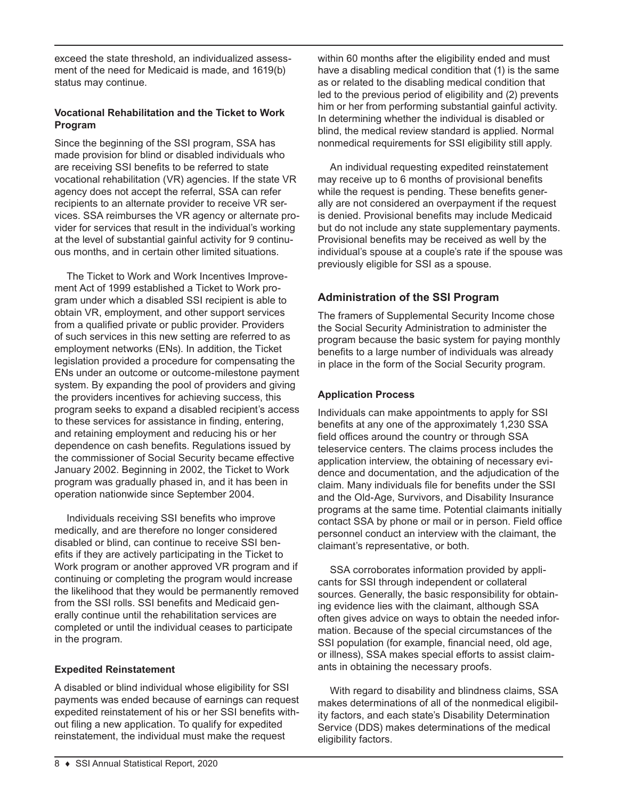exceed the state threshold, an individualized assessment of the need for Medicaid is made, and 1619(b) status may continue.

### **Vocational Rehabilitation and the Ticket to Work Program**

Since the beginning of the SSI program, SSA has made provision for blind or disabled individuals who are receiving SSI benefits to be referred to state vocational rehabilitation (VR) agencies. If the state VR agency does not accept the referral, SSA can refer recipients to an alternate provider to receive VR services. SSA reimburses the VR agency or alternate provider for services that result in the individual's working at the level of substantial gainful activity for 9 continuous months, and in certain other limited situations.

The Ticket to Work and Work Incentives Improvement Act of 1999 established a Ticket to Work program under which a disabled SSI recipient is able to obtain VR, employment, and other support services from a qualified private or public provider. Providers of such services in this new setting are referred to as employment networks (ENs). In addition, the Ticket legislation provided a procedure for compensating the ENs under an outcome or outcome-milestone payment system. By expanding the pool of providers and giving the providers incentives for achieving success, this program seeks to expand a disabled recipient's access to these services for assistance in finding, entering, and retaining employment and reducing his or her dependence on cash benefits. Regulations issued by the commissioner of Social Security became effective January 2002. Beginning in 2002, the Ticket to Work program was gradually phased in, and it has been in operation nationwide since September 2004.

Individuals receiving SSI benefits who improve medically, and are therefore no longer considered disabled or blind, can continue to receive SSI benefits if they are actively participating in the Ticket to Work program or another approved VR program and if continuing or completing the program would increase the likelihood that they would be permanently removed from the SSI rolls. SSI benefits and Medicaid generally continue until the rehabilitation services are completed or until the individual ceases to participate in the program.

### **Expedited Reinstatement**

A disabled or blind individual whose eligibility for SSI payments was ended because of earnings can request expedited reinstatement of his or her SSI benefits without filing a new application. To qualify for expedited reinstatement, the individual must make the request

within 60 months after the eligibility ended and must have a disabling medical condition that (1) is the same as or related to the disabling medical condition that led to the previous period of eligibility and (2) prevents him or her from performing substantial gainful activity. In determining whether the individual is disabled or blind, the medical review standard is applied. Normal nonmedical requirements for SSI eligibility still apply.

An individual requesting expedited reinstatement may receive up to 6 months of provisional benefits while the request is pending. These benefits generally are not considered an overpayment if the request is denied. Provisional benefits may include Medicaid but do not include any state supplementary payments. Provisional benefits may be received as well by the individual's spouse at a couple's rate if the spouse was previously eligible for SSI as a spouse.

# **Administration of the SSI Program**

The framers of Supplemental Security Income chose the Social Security Administration to administer the program because the basic system for paying monthly benefits to a large number of individuals was already in place in the form of the Social Security program.

# **Application Process**

Individuals can make appointments to apply for SSI benefits at any one of the approximately 1,230 SSA field offices around the country or through SSA teleservice centers. The claims process includes the application interview, the obtaining of necessary evidence and documentation, and the adjudication of the claim. Many individuals file for benefits under the SSI and the Old-Age, Survivors, and Disability Insurance programs at the same time. Potential claimants initially contact SSA by phone or mail or in person. Field office personnel conduct an interview with the claimant, the claimant's representative, or both.

SSA corroborates information provided by applicants for SSI through independent or collateral sources. Generally, the basic responsibility for obtaining evidence lies with the claimant, although SSA often gives advice on ways to obtain the needed information. Because of the special circumstances of the SSI population (for example, financial need, old age, or illness), SSA makes special efforts to assist claimants in obtaining the necessary proofs.

With regard to disability and blindness claims, SSA makes determinations of all of the nonmedical eligibility factors, and each state's Disability Determination Service (DDS) makes determinations of the medical eligibility factors.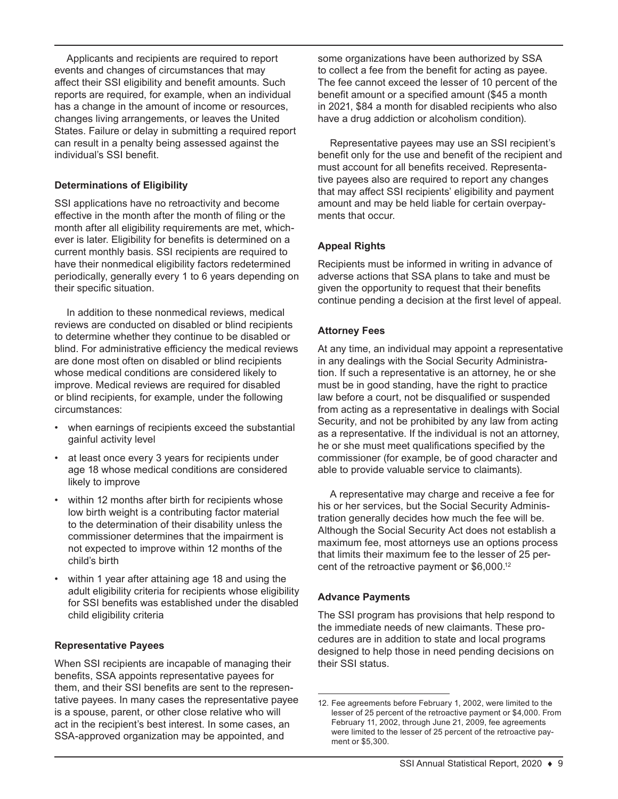Applicants and recipients are required to report events and changes of circumstances that may affect their SSI eligibility and benefit amounts. Such reports are required, for example, when an individual has a change in the amount of income or resources, changes living arrangements, or leaves the United States. Failure or delay in submitting a required report can result in a penalty being assessed against the individual's SSI benefit.

### **Determinations of Eligibility**

SSI applications have no retroactivity and become effective in the month after the month of filing or the month after all eligibility requirements are met, whichever is later. Eligibility for benefits is determined on a current monthly basis. SSI recipients are required to have their nonmedical eligibility factors redetermined periodically, generally every 1 to 6 years depending on their specific situation.

In addition to these nonmedical reviews, medical reviews are conducted on disabled or blind recipients to determine whether they continue to be disabled or blind. For administrative efficiency the medical reviews are done most often on disabled or blind recipients whose medical conditions are considered likely to improve. Medical reviews are required for disabled or blind recipients, for example, under the following circumstances:

- when earnings of recipients exceed the substantial gainful activity level
- at least once every 3 years for recipients under age 18 whose medical conditions are considered likely to improve
- within 12 months after birth for recipients whose low birth weight is a contributing factor material to the determination of their disability unless the commissioner determines that the impairment is not expected to improve within 12 months of the child's birth
- within 1 year after attaining age 18 and using the adult eligibility criteria for recipients whose eligibility for SSI benefits was established under the disabled child eligibility criteria

### **Representative Payees**

When SSI recipients are incapable of managing their benefits, SSA appoints representative payees for them, and their SSI benefits are sent to the representative payees. In many cases the representative payee is a spouse, parent, or other close relative who will act in the recipient's best interest. In some cases, an SSA-approved organization may be appointed, and

some organizations have been authorized by SSA to collect a fee from the benefit for acting as payee. The fee cannot exceed the lesser of 10 percent of the benefit amount or a specified amount (\$45 a month in 2021, \$84 a month for disabled recipients who also have a drug addiction or alcoholism condition).

Representative payees may use an SSI recipient's benefit only for the use and benefit of the recipient and must account for all benefits received. Representative payees also are required to report any changes that may affect SSI recipients' eligibility and payment amount and may be held liable for certain overpayments that occur.

### **Appeal Rights**

Recipients must be informed in writing in advance of adverse actions that SSA plans to take and must be given the opportunity to request that their benefits continue pending a decision at the first level of appeal.

### **Attorney Fees**

At any time, an individual may appoint a representative in any dealings with the Social Security Administration. If such a representative is an attorney, he or she must be in good standing, have the right to practice law before a court, not be disqualified or suspended from acting as a representative in dealings with Social Security, and not be prohibited by any law from acting as a representative. If the individual is not an attorney, he or she must meet qualifications specified by the commissioner (for example, be of good character and able to provide valuable service to claimants).

A representative may charge and receive a fee for his or her services, but the Social Security Administration generally decides how much the fee will be. Although the Social Security Act does not establish a maximum fee, most attorneys use an options process that limits their maximum fee to the lesser of 25 percent of the retroactive payment or \$6,000.12

### **Advance Payments**

The SSI program has provisions that help respond to the immediate needs of new claimants. These procedures are in addition to state and local programs designed to help those in need pending decisions on their SSI status.

<sup>12.</sup> Fee agreements before February 1, 2002, were limited to the lesser of 25 percent of the retroactive payment or \$4,000. From February 11, 2002, through June 21, 2009, fee agreements were limited to the lesser of 25 percent of the retroactive payment or \$5,300.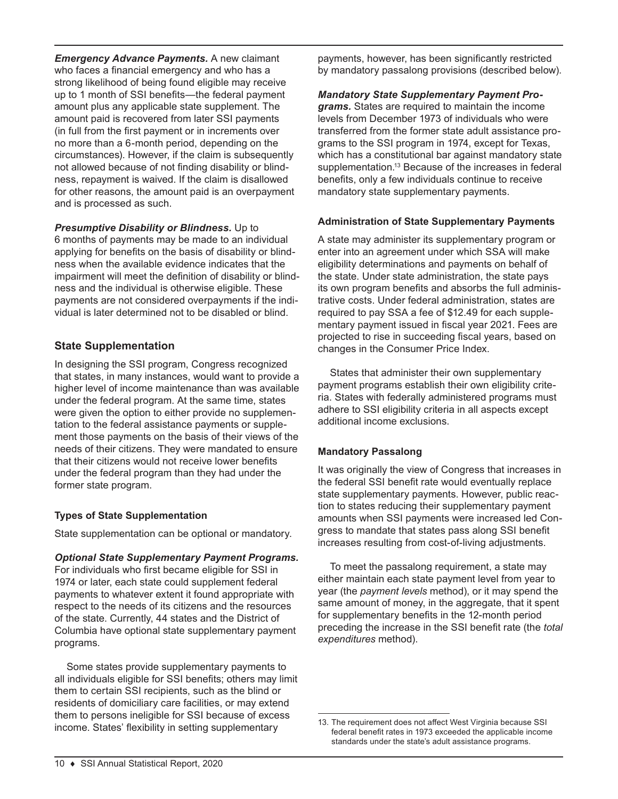*Emergency Advance Payments.* A new claimant who faces a financial emergency and who has a strong likelihood of being found eligible may receive up to 1 month of SSI benefits—the federal payment amount plus any applicable state supplement. The amount paid is recovered from later SSI payments (in full from the first payment or in increments over no more than a 6-month period, depending on the circumstances). However, if the claim is subsequently not allowed because of not finding disability or blindness, repayment is waived. If the claim is disallowed for other reasons, the amount paid is an overpayment and is processed as such.

*Presumptive Disability or Blindness.* Up to 6 months of payments may be made to an individual applying for benefits on the basis of disability or blindness when the available evidence indicates that the impairment will meet the definition of disability or blindness and the individual is otherwise eligible. These payments are not considered overpayments if the individual is later determined not to be disabled or blind.

### **State Supplementation**

In designing the SSI program, Congress recognized that states, in many instances, would want to provide a higher level of income maintenance than was available under the federal program. At the same time, states were given the option to either provide no supplementation to the federal assistance payments or supplement those payments on the basis of their views of the needs of their citizens. They were mandated to ensure that their citizens would not receive lower benefits under the federal program than they had under the former state program.

### **Types of State Supplementation**

State supplementation can be optional or mandatory.

### *Optional State Supplementary Payment Programs.*

For individuals who first became eligible for SSI in 1974 or later, each state could supplement federal payments to whatever extent it found appropriate with respect to the needs of its citizens and the resources of the state. Currently, 44 states and the District of Columbia have optional state supplementary payment programs.

Some states provide supplementary payments to all individuals eligible for SSI benefits; others may limit them to certain SSI recipients, such as the blind or residents of domiciliary care facilities, or may extend them to persons ineligible for SSI because of excess income. States' flexibility in setting supplementary

payments, however, has been significantly restricted by mandatory passalong provisions (described below).

#### *Mandatory State Supplementary Payment Pro-*

*grams.* States are required to maintain the income levels from December 1973 of individuals who were transferred from the former state adult assistance programs to the SSI program in 1974, except for Texas, which has a constitutional bar against mandatory state supplementation.<sup>13</sup> Because of the increases in federal benefits, only a few individuals continue to receive mandatory state supplementary payments.

### **Administration of State Supplementary Payments**

A state may administer its supplementary program or enter into an agreement under which SSA will make eligibility determinations and payments on behalf of the state. Under state administration, the state pays its own program benefits and absorbs the full administrative costs. Under federal administration, states are required to pay SSA a fee of \$12.49 for each supplementary payment issued in fiscal year 2021. Fees are projected to rise in succeeding fiscal years, based on changes in the Consumer Price Index.

States that administer their own supplementary payment programs establish their own eligibility criteria. States with federally administered programs must adhere to SSI eligibility criteria in all aspects except additional income exclusions.

### **Mandatory Passalong**

It was originally the view of Congress that increases in the federal SSI benefit rate would eventually replace state supplementary payments. However, public reaction to states reducing their supplementary payment amounts when SSI payments were increased led Congress to mandate that states pass along SSI benefit increases resulting from cost-of-living adjustments.

To meet the passalong requirement, a state may either maintain each state payment level from year to year (the *payment levels* method), or it may spend the same amount of money, in the aggregate, that it spent for supplementary benefits in the 12-month period preceding the increase in the SSI benefit rate (the *total expenditures* method).

<sup>13.</sup> The requirement does not affect West Virginia because SSI federal benefit rates in 1973 exceeded the applicable income standards under the state's adult assistance programs.